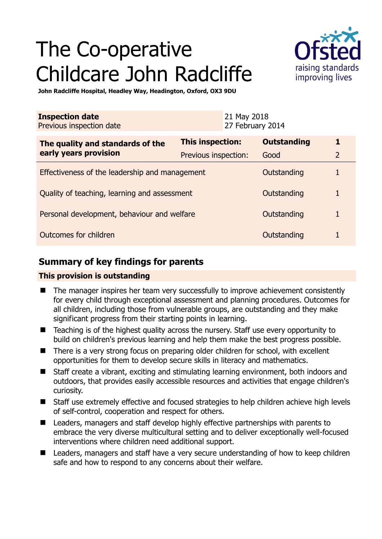# The Co-operative Childcare John Radcliffe



**John Radcliffe Hospital, Headley Way, Headington, Oxford, OX3 9DU** 

| <b>Inspection date</b><br>Previous inspection date        |                      | 21 May 2018<br>27 February 2014 |                    |                |
|-----------------------------------------------------------|----------------------|---------------------------------|--------------------|----------------|
| The quality and standards of the<br>early years provision | This inspection:     |                                 | <b>Outstanding</b> |                |
|                                                           | Previous inspection: |                                 | Good               | $\overline{2}$ |
| Effectiveness of the leadership and management            |                      |                                 | Outstanding        |                |
| Quality of teaching, learning and assessment              |                      |                                 | Outstanding        |                |
| Personal development, behaviour and welfare               |                      |                                 | Outstanding        |                |
| Outcomes for children                                     |                      |                                 | Outstanding        |                |

## **Summary of key findings for parents**

## **This provision is outstanding**

- The manager inspires her team very successfully to improve achievement consistently for every child through exceptional assessment and planning procedures. Outcomes for all children, including those from vulnerable groups, are outstanding and they make significant progress from their starting points in learning.
- Teaching is of the highest quality across the nursery. Staff use every opportunity to build on children's previous learning and help them make the best progress possible.
- There is a very strong focus on preparing older children for school, with excellent opportunities for them to develop secure skills in literacy and mathematics.
- Staff create a vibrant, exciting and stimulating learning environment, both indoors and outdoors, that provides easily accessible resources and activities that engage children's curiosity.
- Staff use extremely effective and focused strategies to help children achieve high levels of self-control, cooperation and respect for others.
- Leaders, managers and staff develop highly effective partnerships with parents to embrace the very diverse multicultural setting and to deliver exceptionally well-focused interventions where children need additional support.
- Leaders, managers and staff have a very secure understanding of how to keep children safe and how to respond to any concerns about their welfare.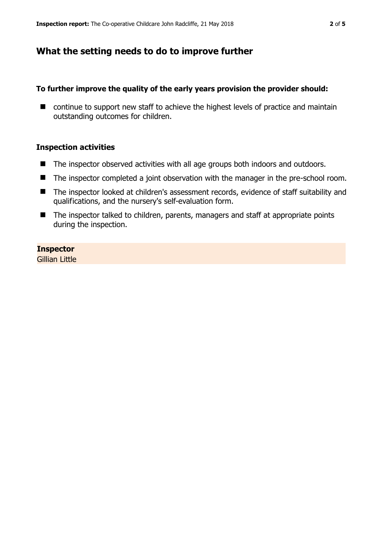## **What the setting needs to do to improve further**

### **To further improve the quality of the early years provision the provider should:**

■ continue to support new staff to achieve the highest levels of practice and maintain outstanding outcomes for children.

#### **Inspection activities**

- The inspector observed activities with all age groups both indoors and outdoors.
- The inspector completed a joint observation with the manager in the pre-school room.
- The inspector looked at children's assessment records, evidence of staff suitability and qualifications, and the nursery's self-evaluation form.
- The inspector talked to children, parents, managers and staff at appropriate points during the inspection.

## **Inspector**

Gillian Little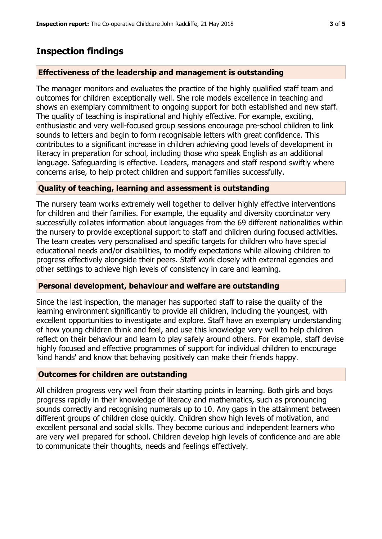## **Inspection findings**

### **Effectiveness of the leadership and management is outstanding**

The manager monitors and evaluates the practice of the highly qualified staff team and outcomes for children exceptionally well. She role models excellence in teaching and shows an exemplary commitment to ongoing support for both established and new staff. The quality of teaching is inspirational and highly effective. For example, exciting, enthusiastic and very well-focused group sessions encourage pre-school children to link sounds to letters and begin to form recognisable letters with great confidence. This contributes to a significant increase in children achieving good levels of development in literacy in preparation for school, including those who speak English as an additional language. Safeguarding is effective. Leaders, managers and staff respond swiftly where concerns arise, to help protect children and support families successfully.

## **Quality of teaching, learning and assessment is outstanding**

The nursery team works extremely well together to deliver highly effective interventions for children and their families. For example, the equality and diversity coordinator very successfully collates information about languages from the 69 different nationalities within the nursery to provide exceptional support to staff and children during focused activities. The team creates very personalised and specific targets for children who have special educational needs and/or disabilities, to modify expectations while allowing children to progress effectively alongside their peers. Staff work closely with external agencies and other settings to achieve high levels of consistency in care and learning.

#### **Personal development, behaviour and welfare are outstanding**

Since the last inspection, the manager has supported staff to raise the quality of the learning environment significantly to provide all children, including the youngest, with excellent opportunities to investigate and explore. Staff have an exemplary understanding of how young children think and feel, and use this knowledge very well to help children reflect on their behaviour and learn to play safely around others. For example, staff devise highly focused and effective programmes of support for individual children to encourage 'kind hands' and know that behaving positively can make their friends happy.

#### **Outcomes for children are outstanding**

All children progress very well from their starting points in learning. Both girls and boys progress rapidly in their knowledge of literacy and mathematics, such as pronouncing sounds correctly and recognising numerals up to 10. Any gaps in the attainment between different groups of children close quickly. Children show high levels of motivation, and excellent personal and social skills. They become curious and independent learners who are very well prepared for school. Children develop high levels of confidence and are able to communicate their thoughts, needs and feelings effectively.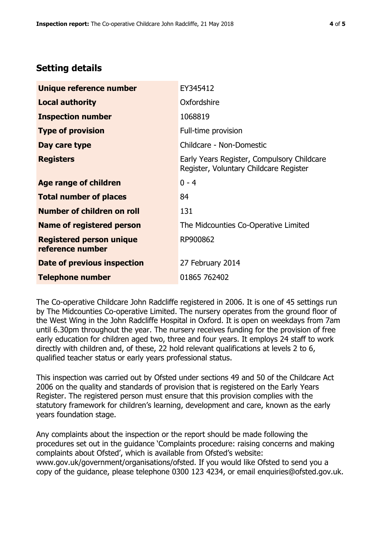## **Setting details**

| Unique reference number                             | EY345412                                                                             |  |
|-----------------------------------------------------|--------------------------------------------------------------------------------------|--|
| <b>Local authority</b>                              | Oxfordshire                                                                          |  |
| <b>Inspection number</b>                            | 1068819                                                                              |  |
| <b>Type of provision</b>                            | Full-time provision                                                                  |  |
| Day care type                                       | Childcare - Non-Domestic                                                             |  |
| <b>Registers</b>                                    | Early Years Register, Compulsory Childcare<br>Register, Voluntary Childcare Register |  |
| Age range of children                               | $0 - 4$                                                                              |  |
| <b>Total number of places</b>                       | 84                                                                                   |  |
| Number of children on roll                          | 131                                                                                  |  |
| Name of registered person                           | The Midcounties Co-Operative Limited                                                 |  |
| <b>Registered person unique</b><br>reference number | RP900862                                                                             |  |
| Date of previous inspection                         | 27 February 2014                                                                     |  |
| <b>Telephone number</b>                             | 01865 762402                                                                         |  |

The Co-operative Childcare John Radcliffe registered in 2006. It is one of 45 settings run by The Midcounties Co-operative Limited. The nursery operates from the ground floor of the West Wing in the John Radcliffe Hospital in Oxford. It is open on weekdays from 7am until 6.30pm throughout the year. The nursery receives funding for the provision of free early education for children aged two, three and four years. It employs 24 staff to work directly with children and, of these, 22 hold relevant qualifications at levels 2 to 6, qualified teacher status or early years professional status.

This inspection was carried out by Ofsted under sections 49 and 50 of the Childcare Act 2006 on the quality and standards of provision that is registered on the Early Years Register. The registered person must ensure that this provision complies with the statutory framework for children's learning, development and care, known as the early years foundation stage.

Any complaints about the inspection or the report should be made following the procedures set out in the guidance 'Complaints procedure: raising concerns and making complaints about Ofsted', which is available from Ofsted's website: www.gov.uk/government/organisations/ofsted. If you would like Ofsted to send you a copy of the guidance, please telephone 0300 123 4234, or email enquiries@ofsted.gov.uk.